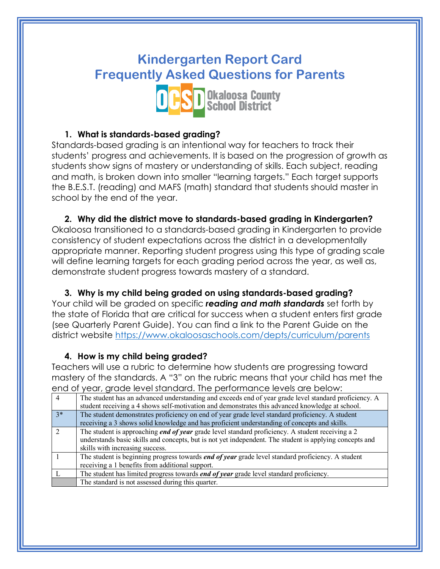# **Kindergarten Report Card Frequently Asked Questions for Parents**



### **1. What is standards-based grading?**

Standards-based grading is an intentional way for teachers to track their students' progress and achievements. It is based on the progression of growth as students show signs of mastery or understanding of skills. Each subject, reading and math, is broken down into smaller "learning targets." Each target supports the B.E.S.T. (reading) and MAFS (math) standard that students should master in school by the end of the year.

**2. Why did the district move to standards-based grading in Kindergarten?** Okaloosa transitioned to a standards-based grading in Kindergarten to provide consistency of student expectations across the district in a developmentally appropriate manner. Reporting student progress using this type of grading scale will define learning targets for each grading period across the year, as well as, demonstrate student progress towards mastery of a standard.

**3. Why is my child being graded on using standards-based grading?** Your child will be graded on specific *reading and math standards* set forth by the state of Florida that are critical for success when a student enters first grade (see Quarterly Parent Guide). You can find a link to the Parent Guide on the district website https://www.okaloosaschools.com/depts/curriculum/parents

#### **4. How is my child being graded?**

Teachers will use a rubric to determine how students are progressing toward mastery of the standards. A "3" on the rubric means that your child has met the end of year, grade level standard. The performance levels are below:

| $\overline{4}$ | The student has an advanced understanding and exceeds end of year grade level standard proficiency. A    |
|----------------|----------------------------------------------------------------------------------------------------------|
|                | student receiving a 4 shows self-motivation and demonstrates this advanced knowledge at school.          |
| $3*$           | The student demonstrates proficiency on end of year grade level standard proficiency. A student          |
|                | receiving a 3 shows solid knowledge and has proficient understanding of concepts and skills.             |
| $\mathcal{D}$  | The student is approaching <i>end of year</i> grade level standard proficiency. A student receiving a 2  |
|                | understands basic skills and concepts, but is not yet independent. The student is applying concepts and  |
|                | skills with increasing success.                                                                          |
|                | The student is beginning progress towards <i>end of year</i> grade level standard proficiency. A student |
|                | receiving a 1 benefits from additional support.                                                          |
|                | The student has limited progress towards <i>end of year</i> grade level standard proficiency.            |
|                | The standard is not assessed during this quarter.                                                        |
|                |                                                                                                          |